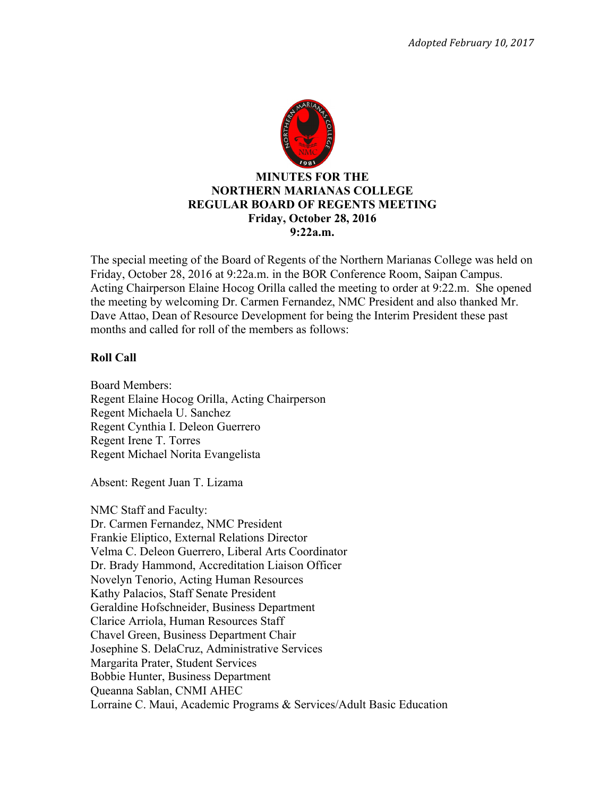

The special meeting of the Board of Regents of the Northern Marianas College was held on Friday, October 28, 2016 at 9:22a.m. in the BOR Conference Room, Saipan Campus. Acting Chairperson Elaine Hocog Orilla called the meeting to order at 9:22.m. She opened the meeting by welcoming Dr. Carmen Fernandez, NMC President and also thanked Mr. Dave Attao, Dean of Resource Development for being the Interim President these past months and called for roll of the members as follows:

### **Roll Call**

Board Members: Regent Elaine Hocog Orilla, Acting Chairperson Regent Michaela U. Sanchez Regent Cynthia I. Deleon Guerrero Regent Irene T. Torres Regent Michael Norita Evangelista

Absent: Regent Juan T. Lizama

NMC Staff and Faculty: Dr. Carmen Fernandez, NMC President Frankie Eliptico, External Relations Director Velma C. Deleon Guerrero, Liberal Arts Coordinator Dr. Brady Hammond, Accreditation Liaison Officer Novelyn Tenorio, Acting Human Resources Kathy Palacios, Staff Senate President Geraldine Hofschneider, Business Department Clarice Arriola, Human Resources Staff Chavel Green, Business Department Chair Josephine S. DelaCruz, Administrative Services Margarita Prater, Student Services Bobbie Hunter, Business Department Queanna Sablan, CNMI AHEC Lorraine C. Maui, Academic Programs & Services/Adult Basic Education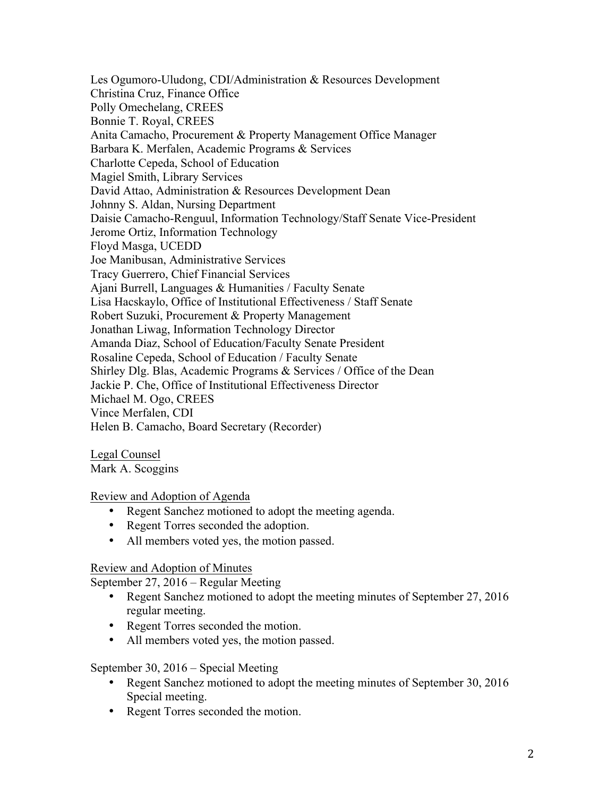Les Ogumoro-Uludong, CDI/Administration & Resources Development Christina Cruz, Finance Office Polly Omechelang, CREES Bonnie T. Royal, CREES Anita Camacho, Procurement & Property Management Office Manager Barbara K. Merfalen, Academic Programs & Services Charlotte Cepeda, School of Education Magiel Smith, Library Services David Attao, Administration & Resources Development Dean Johnny S. Aldan, Nursing Department Daisie Camacho-Renguul, Information Technology/Staff Senate Vice-President Jerome Ortiz, Information Technology Floyd Masga, UCEDD Joe Manibusan, Administrative Services Tracy Guerrero, Chief Financial Services Ajani Burrell, Languages & Humanities / Faculty Senate Lisa Hacskaylo, Office of Institutional Effectiveness / Staff Senate Robert Suzuki, Procurement & Property Management Jonathan Liwag, Information Technology Director Amanda Diaz, School of Education/Faculty Senate President Rosaline Cepeda, School of Education / Faculty Senate Shirley Dlg. Blas, Academic Programs & Services / Office of the Dean Jackie P. Che, Office of Institutional Effectiveness Director Michael M. Ogo, CREES Vince Merfalen, CDI Helen B. Camacho, Board Secretary (Recorder)

Legal Counsel Mark A. Scoggins

### Review and Adoption of Agenda

- Regent Sanchez motioned to adopt the meeting agenda.
- Regent Torres seconded the adoption.
- All members voted yes, the motion passed.

### Review and Adoption of Minutes

September 27, 2016 – Regular Meeting

- Regent Sanchez motioned to adopt the meeting minutes of September 27, 2016 regular meeting.
- Regent Torres seconded the motion.
- All members voted yes, the motion passed.

### September 30, 2016 – Special Meeting

- Regent Sanchez motioned to adopt the meeting minutes of September 30, 2016 Special meeting.
- Regent Torres seconded the motion.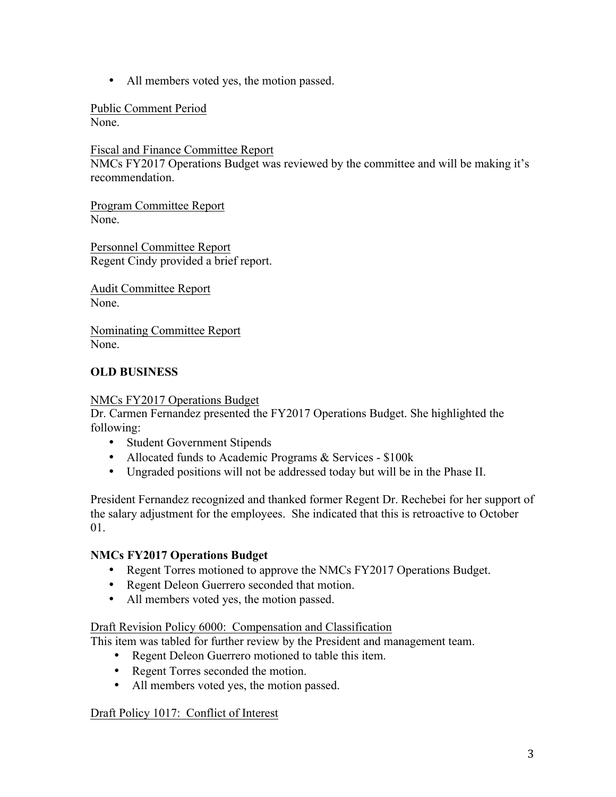• All members voted yes, the motion passed.

Public Comment Period None.

Fiscal and Finance Committee Report

NMCs FY2017 Operations Budget was reviewed by the committee and will be making it's recommendation.

Program Committee Report None.

Personnel Committee Report Regent Cindy provided a brief report.

Audit Committee Report None.

Nominating Committee Report None.

# **OLD BUSINESS**

#### NMCs FY2017 Operations Budget

Dr. Carmen Fernandez presented the FY2017 Operations Budget. She highlighted the following:

- Student Government Stipends
- Allocated funds to Academic Programs & Services \$100k
- Ungraded positions will not be addressed today but will be in the Phase II.

President Fernandez recognized and thanked former Regent Dr. Rechebei for her support of the salary adjustment for the employees. She indicated that this is retroactive to October 01.

### **NMCs FY2017 Operations Budget**

- Regent Torres motioned to approve the NMCs FY2017 Operations Budget.
- Regent Deleon Guerrero seconded that motion.
- All members voted yes, the motion passed.

#### Draft Revision Policy 6000: Compensation and Classification

This item was tabled for further review by the President and management team.

- Regent Deleon Guerrero motioned to table this item.
- Regent Torres seconded the motion.
- All members voted yes, the motion passed.

#### Draft Policy 1017: Conflict of Interest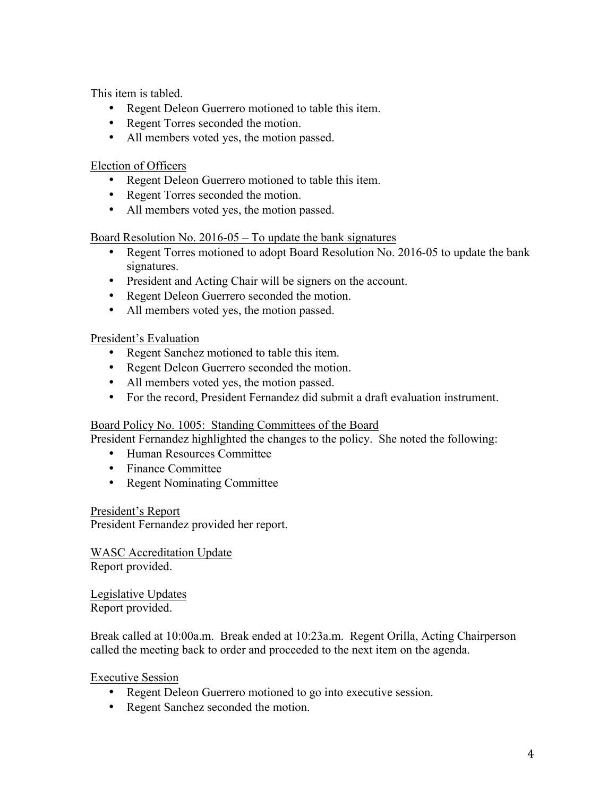This item is tabled.

- Regent Deleon Guerrero motioned to table this item.
- Regent Torres seconded the motion.
- All members voted yes, the motion passed.

Election of Officers

- Regent Deleon Guerrero motioned to table this item.
- Regent Torres seconded the motion.
- All members voted yes, the motion passed.

Board Resolution No. 2016-05 – To update the bank signatures

- Regent Torres motioned to adopt Board Resolution No. 2016-05 to update the bank signatures.
- President and Acting Chair will be signers on the account.
- Regent Deleon Guerrero seconded the motion.
- All members voted yes, the motion passed.

### President's Evaluation

- Regent Sanchez motioned to table this item.
- Regent Deleon Guerrero seconded the motion.
- All members voted yes, the motion passed.
- For the record, President Fernandez did submit a draft evaluation instrument.

### Board Policy No. 1005: Standing Committees of the Board

President Fernandez highlighted the changes to the policy. She noted the following:

- Human Resources Committee
- Finance Committee
- Regent Nominating Committee

President's Report

President Fernandez provided her report.

WASC Accreditation Update Report provided.

Legislative Updates Report provided.

Break called at 10:00a.m. Break ended at 10:23a.m. Regent Orilla, Acting Chairperson called the meeting back to order and proceeded to the next item on the agenda.

Executive Session

- Regent Deleon Guerrero motioned to go into executive session.
- Regent Sanchez seconded the motion.